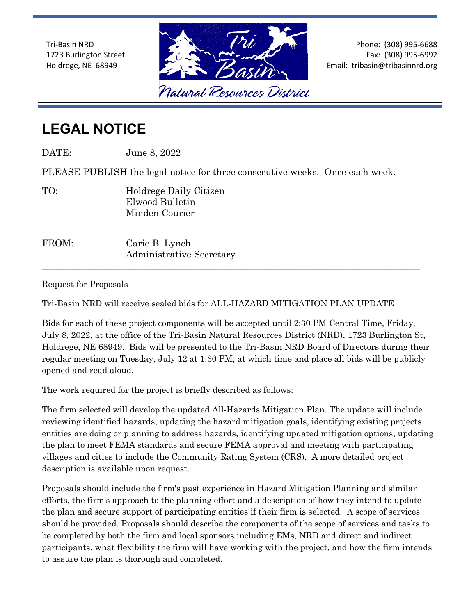Tri-Basin NRD 1723 Burlington Street Holdrege, NE 68949



Phone: (308) 995-6688 Fax: (308) 995-6992 Email: tribasin@tribasinnrd.org

## **LEGAL NOTICE**

| FROM:                                                                        | Carie B. Lynch<br>Administrative Secretary                  |
|------------------------------------------------------------------------------|-------------------------------------------------------------|
| TO:                                                                          | Holdrege Daily Citizen<br>Elwood Bulletin<br>Minden Courier |
| PLEASE PUBLISH the legal notice for three consecutive weeks. Once each week. |                                                             |
| DATE:                                                                        | June 8, 2022                                                |

Request for Proposals

Tri-Basin NRD will receive sealed bids for ALL-HAZARD MITIGATION PLAN UPDATE

Bids for each of these project components will be accepted until 2:30 PM Central Time, Friday, July 8, 2022, at the office of the Tri-Basin Natural Resources District (NRD), 1723 Burlington St, Holdrege, NE 68949. Bids will be presented to the Tri-Basin NRD Board of Directors during their regular meeting on Tuesday, July 12 at 1:30 PM, at which time and place all bids will be publicly opened and read aloud.

The work required for the project is briefly described as follows:

The firm selected will develop the updated All-Hazards Mitigation Plan. The update will include reviewing identified hazards, updating the hazard mitigation goals, identifying existing projects entities are doing or planning to address hazards, identifying updated mitigation options, updating the plan to meet FEMA standards and secure FEMA approval and meeting with participating villages and cities to include the Community Rating System (CRS). A more detailed project description is available upon request.

Proposals should include the firm's past experience in Hazard Mitigation Planning and similar efforts, the firm's approach to the planning effort and a description of how they intend to update the plan and secure support of participating entities if their firm is selected. A scope of services should be provided. Proposals should describe the components of the scope of services and tasks to be completed by both the firm and local sponsors including EMs, NRD and direct and indirect participants, what flexibility the firm will have working with the project, and how the firm intends to assure the plan is thorough and completed.